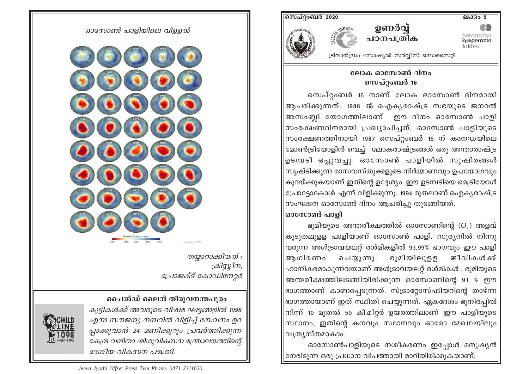ലക്കം 9

hernaniko<br>**koperazio**<br>taldea





<u>സെപ്റ്റംബർ 2020</u>

ട്രിവാൻഡ്രം സോഷ്യൽ സർവ്വീസ് സൊസൈറ്റി

## ലോക ഓസോൺ ദിനം സെപ്റ്റംബർ 16

സെപ്റ്റംബർ 16 നാണ് ലോക ഓസോൺ ദിനമായി $\parallel$ ആചരിക്കുന്നത്. 1988 ൽ ഐകൃരാഷ്ട്ര സഭയുടെ ജനറൽ $|$ അസംബി യോഗത്തിലാണ് ഈ ദിനം ഓസോൺ പാളി സംരക്ഷണദിനമായി പ്രഖ്യാപിച്ചത്. ഓസോൺ പാളിയുടെ||  $|$ സംരക്ഷണത്തിനായി 1987 സെപ്റ്റംബർ 16 ന് കാനഡയിലെ $\parallel$ മോൺട്രിയോളിൻ വെച്ച് ലോകരാഷ്ട്രങ്ങൾ ഒരു അന്താരാഷ്ട്ര $\parallel$  $|$ ഉടമ്പടി ഒപ്പുവച്ചു. ഓസോൺ പാളിയിൽ സുഷിരങ്ങൾ $\parallel$ സൃഷ്ടിക്കുന്ന രാസവസ്തുക്കളുടെ നിർമ്മാണവും ഉപയോഗവും| കുറയ്ക്കുകയാണ് ഇതിന്റെ ഉദ്ദേശ്യം. ഈ ഉടമ്പടിയെ മെട്രിയോൾ $\parallel$ പ്രോട്ടോകോൾ എന്ന് വിളിക്കുന്നു. 1994 മുതലാണ് ഐകൃരാഷ്ട്ര $\vert$ |സംഘടന ഓസോൺ ദിനം ആചരിച്ചു തുടങ്ങിയത്. |ഓസോൺ പാളി

ഭൂമിയുടെ അന്തരീക്ഷത്തിൽ ഓസോണിന്റെ  $(O_n)$  അളവ് $||$ കൂടുതലുളള പാളിയാണ് ഓസോൺ പാളി. സൂര്യനിൽ നിന്നു $\vert$ വരുന്ന അൾട്രാവയലറ്റ് രശ്മികളിൽ 93.99% ഭാഗവും ഈ പാളി $\parallel$ ചെയ്യുന്നു. ഭുമിയിലുളള ജീവികൾക്ക് $\mid$ ആഗിരണം ഹാനികരമാകുന്നവയാണ് അൾട്രാവയലറ്റ് രശ്മികൾ . ഭൂമിയുടെ $\parallel$ അന്തരീക്ഷത്തിലടങ്ങിയിരിക്കുന്ന ഓസോണിന്റെ 91 % ഈ $\parallel$ ഭാഗത്താണ് കാണപ്പെടുന്നത്. സ്ട്രാറ്റോസ്ഫിയറിന്റെ താഴ്ന്ന $\parallel$ ഭാഗത്തായാണ് ഇത് സ്ഥിതി ചെയ്യുന്നത്. ഏകദേശം ഭുനിരപ്പിൽ $\parallel$ നിന്ന് 10 മുതൽ 50 കി.മീറ്റർ ഉയരത്തിലാണ് ഈ പാളിയുടെ $\parallel$  $|$ സ്ഥാനം, ഇതിന്റെ കനവും സ്ഥാനവും ഓരോ മേഖലയിലും $| \:$ വൃതൃസ്തമാകാം.

ഓസോൺപാളിയുടെ നശീകരണം ഇപ്പോൾ മനുഷ്യൻ $\parallel$ നേരിടുന്ന ഒരു പ്രധാന വിപത്തായി മാറിയിരിക്കുകയാണ്.

## ഓസോൺ പാളിയിലെ വിള്ളൽ



തയ്യാറാക്കിയത് : ക്രിസ്കീന, പ്രോജക്ട് കോഡിനേറ്റർ

## ചൈൽഡ് ലൈൻ തിരുവനന്തപുരം

കുട്ടികൾക്ക് അവരുടെ വിഷമ ഘട്ടങ്ങളിൽ 1098 എന്ന സൗജന്യ നമ്പറിൽ വിളിച്ച് സേവനം ഉറ പ്പാക്കുവാൻ 24 മണിക്കുറും പ്രവർത്തിക്കുന്ന കേന്ദ്ര വനിതാ ശിശുവികസന മന്ത്രാലയത്തിന്റെ ദേശീയ വികസന പദ്ധതി.